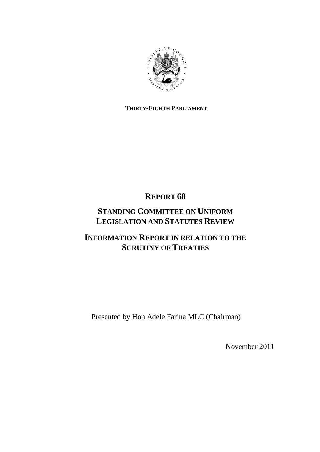

# **THIRTY-EIGHTH PARLIAMENT**

# **REPORT 68**

# **STANDING COMMITTEE ON UNIFORM LEGISLATION AND STATUTES REVIEW**

# **INFORMATION REPORT IN RELATION TO THE SCRUTINY OF TREATIES**

Presented by Hon Adele Farina MLC (Chairman)

November 2011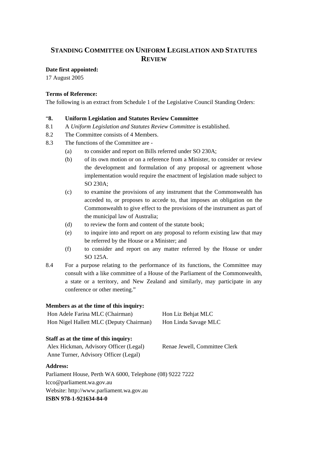# **STANDING COMMITTEE ON UNIFORM LEGISLATION AND STATUTES REVIEW**

# **Date first appointed:**

17 August 2005

# **Terms of Reference:**

The following is an extract from Schedule 1 of the Legislative Council Standing Orders:

# "**8. Uniform Legislation and Statutes Review Committee**

- 8.1 A *Uniform Legislation and Statutes Review Committee* is established.
- 8.2 The Committee consists of 4 Members.
- 8.3 The functions of the Committee are
	- (a) to consider and report on Bills referred under SO 230A;
	- (b) of its own motion or on a reference from a Minister, to consider or review the development and formulation of any proposal or agreement whose implementation would require the enactment of legislation made subject to SO 230A;
	- (c) to examine the provisions of any instrument that the Commonwealth has acceded to, or proposes to accede to, that imposes an obligation on the Commonwealth to give effect to the provisions of the instrument as part of the municipal law of Australia;
	- (d) to review the form and content of the statute book;
	- (e) to inquire into and report on any proposal to reform existing law that may be referred by the House or a Minister; and
	- (f) to consider and report on any matter referred by the House or under SO 125A.
- 8.4 For a purpose relating to the performance of its functions, the Committee may consult with a like committee of a House of the Parliament of the Commonwealth, a state or a territory, and New Zealand and similarly, may participate in any conference or other meeting."

## **Members as at the time of this inquiry:**

| Hon Adele Farina MLC (Chairman)         | Hon Liz Behjat MLC   |
|-----------------------------------------|----------------------|
| Hon Nigel Hallett MLC (Deputy Chairman) | Hon Linda Savage MLC |

# **Staff as at the time of this inquiry:**

Alex Hickman, Advisory Officer (Legal) Renae Jewell, Committee Clerk Anne Turner, Advisory Officer (Legal)

## **Address:**

Parliament House, Perth WA 6000, Telephone (08) 9222 7222 lcco@parliament.wa.gov.au Website: http://www.parliament.wa.gov.au **ISBN 978-1-921634-84-0**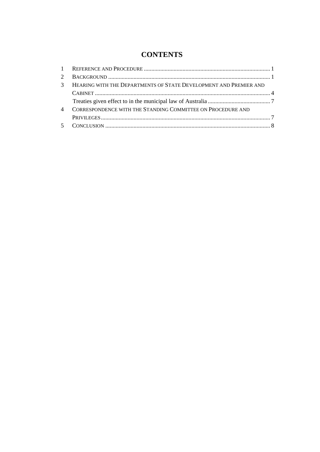# **CONTENTS**

| 2 <sup>1</sup> |                                                                   |  |
|----------------|-------------------------------------------------------------------|--|
| $\mathcal{R}$  | HEARING WITH THE DEPARTMENTS OF STATE DEVELOPMENT AND PREMIER AND |  |
|                |                                                                   |  |
|                |                                                                   |  |
| $\overline{4}$ | CORRESPONDENCE WITH THE STANDING COMMITTEE ON PROCEDURE AND       |  |
|                |                                                                   |  |
|                |                                                                   |  |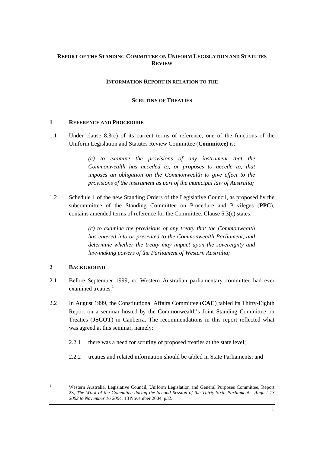# **REPORT OF THE STANDING COMMITTEE ON UNIFORM LEGISLATION AND STATUTES REVIEW**

#### **INFORMATION REPORT IN RELATION TO THE**

### **SCRUTINY OF TREATIES**

#### **1 REFERENCE AND PROCEDURE**

1.1 Under clause 8.3(c) of its current terms of reference, one of the functions of the Uniform Legislation and Statutes Review Committee (**Committee**) is:

> *(c) to examine the provisions of any instrument that the Commonwealth has acceded to, or proposes to accede to, that imposes an obligation on the Commonwealth to give effect to the provisions of the instrument as part of the municipal law of Australia;*

1.2 Schedule 1 of the new Standing Orders of the Legislative Council, as proposed by the subcommittee of the Standing Committee on Procedure and Privileges (**PPC**), contains amended terms of reference for the Committee. Clause 5.3(c) states:

> *(c) to examine the provisions of any treaty that the Commonwealth has entered into or presented to the Commonwealth Parliament, and determine whether the treaty may impact upon the sovereignty and law-making powers of the Parliament of Western Australia;*

### **2 BACKGROUND**

- 2.1 Before September 1999, no Western Australian parliamentary committee had ever examined treaties.<sup>1</sup>
- 2.2 In August 1999, the Constitutional Affairs Committee (**CAC**) tabled its Thirty-Eighth Report on a seminar hosted by the Commonwealth's Joint Standing Committee on Treaties (**JSCOT**) in Canberra. The recommendations in this report reflected what was agreed at this seminar, namely:
	- 2.2.1 there was a need for scrutiny of proposed treaties at the state level;
	- 2.2.2 treaties and related information should be tabled in State Parliaments; and

<sup>1</sup> Western Australia, Legislative Council, Uniform Legislation and General Purposes Committee, Report 23, *The Work of the Committee during the Second Session of the Thirty-Sixth Parliament - August 13 2002 to November 16 2004,* 18 November 2004, p32.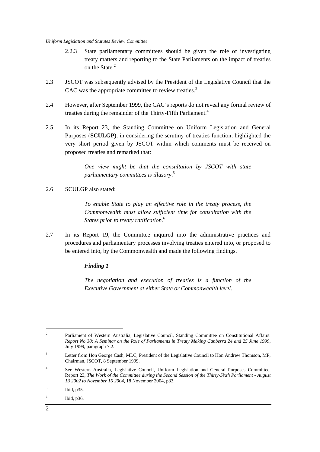- 2.2.3 State parliamentary committees should be given the role of investigating treaty matters and reporting to the State Parliaments on the impact of treaties on the State.<sup>2</sup>
- 2.3 JSCOT was subsequently advised by the President of the Legislative Council that the CAC was the appropriate committee to review treaties.<sup>3</sup>
- 2.4 However, after September 1999, the CAC's reports do not reveal any formal review of treaties during the remainder of the Thirty-Fifth Parliament.<sup>4</sup>
- 2.5 In its Report 23, the Standing Committee on Uniform Legislation and General Purposes (**SCULGP**), in considering the scrutiny of treaties function, highlighted the very short period given by JSCOT within which comments must be received on proposed treaties and remarked that:

*One view might be that the consultation by JSCOT with state parliamentary committees is illusory*. 5

2.6 SCULGP also stated:

*To enable State to play an effective role in the treaty process, the Commonwealth must allow sufficient time for consultation with the States prior to treaty ratification.*<sup>6</sup>

2.7 In its Report 19, the Committee inquired into the administrative practices and procedures and parliamentary processes involving treaties entered into, or proposed to be entered into, by the Commonwealth and made the following findings.

## *Finding 1*

*The negotiation and execution of treaties is a function of the Executive Government at either State or Commonwealth level.* 

 $\overline{a}$ 

<sup>&</sup>lt;sup>2</sup> Parliament of Western Australia, Legislative Council, Standing Committee on Constitutional Affairs: *Report No 38: A Seminar on the Role of Parliaments in Treaty Making Canberra 24 and 25 June 1999*, July 1999, paragraph 7.2.

<sup>3</sup> Letter from Hon George Cash, MLC, President of the Legislative Council to Hon Andrew Thomson, MP, Chairman, JSCOT, 8 September 1999.

<sup>4</sup> See Western Australia, Legislative Council, Uniform Legislation and General Purposes Committee, Report 23, *The Work of the Committee during the Second Session of the Thirty-Sixth Parliament - August 13 2002 to November 16 2004,* 18 November 2004, p33.

<sup>5</sup> Ibid, p35.

<sup>6</sup> Ibid, p36.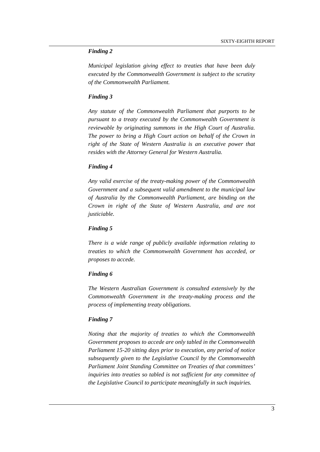#### *Finding 2*

*Municipal legislation giving effect to treaties that have been duly executed by the Commonwealth Government is subject to the scrutiny of the Commonwealth Parliament.* 

#### *Finding 3*

*Any statute of the Commonwealth Parliament that purports to be pursuant to a treaty executed by the Commonwealth Government is reviewable by originating summons in the High Court of Australia. The power to bring a High Court action on behalf of the Crown in right of the State of Western Australia is an executive power that resides with the Attorney General for Western Australia.* 

#### *Finding 4*

*Any valid exercise of the treaty-making power of the Commonwealth Government and a subsequent valid amendment to the municipal law of Australia by the Commonwealth Parliament, are binding on the Crown in right of the State of Western Australia, and are not justiciable.* 

#### *Finding 5*

*There is a wide range of publicly available information relating to treaties to which the Commonwealth Government has acceded, or proposes to accede.* 

#### *Finding 6*

*The Western Australian Government is consulted extensively by the Commonwealth Government in the treaty-making process and the process of implementing treaty obligations.* 

#### *Finding 7*

*Noting that the majority of treaties to which the Commonwealth Government proposes to accede are only tabled in the Commonwealth Parliament 15-20 sitting days prior to execution, any period of notice subsequently given to the Legislative Council by the Commonwealth Parliament Joint Standing Committee on Treaties of that committees' inquiries into treaties so tabled is not sufficient for any committee of the Legislative Council to participate meaningfully in such inquiries.*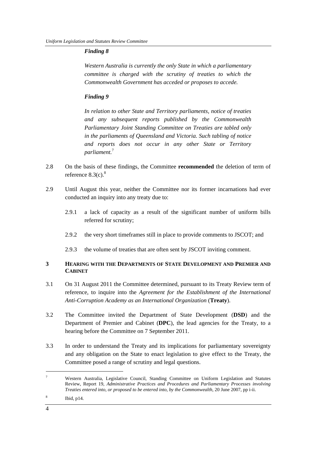# *Finding 8*

*Western Australia is currently the only State in which a parliamentary committee is charged with the scrutiny of treaties to which the Commonwealth Government has acceded or proposes to accede.* 

# *Finding 9*

*In relation to other State and Territory parliaments, notice of treaties and any subsequent reports published by the Commonwealth Parliamentary Joint Standing Committee on Treaties are tabled only in the parliaments of Queensland and Victoria. Such tabling of notice and reports does not occur in any other State or Territory parliament.*<sup>7</sup>

- 2.8 On the basis of these findings, the Committee **recommended** the deletion of term of reference  $8.3(c)$ .<sup>8</sup>
- 2.9 Until August this year, neither the Committee nor its former incarnations had ever conducted an inquiry into any treaty due to:
	- 2.9.1 a lack of capacity as a result of the significant number of uniform bills referred for scrutiny;
	- 2.9.2 the very short timeframes still in place to provide comments to JSCOT; and
	- 2.9.3 the volume of treaties that are often sent by JSCOT inviting comment.

# **3 HEARING WITH THE DEPARTMENTS OF STATE DEVELOPMENT AND PREMIER AND CABINET**

- 3.1 On 31 August 2011 the Committee determined, pursuant to its Treaty Review term of reference, to inquire into the *Agreement for the Establishment of the International Anti-Corruption Academy as an International Organization* (**Treaty**).
- 3.2 The Committee invited the Department of State Development (**DSD**) and the Department of Premier and Cabinet (**DPC**), the lead agencies for the Treaty, to a hearing before the Committee on 7 September 2011.
- 3.3 In order to understand the Treaty and its implications for parliamentary sovereignty and any obligation on the State to enact legislation to give effect to the Treaty, the Committee posed a range of scrutiny and legal questions.

<sup>7</sup> Western Australia, Legislative Council, Standing Committee on Uniform Legislation and Statutes Review, Report 19, *Administrative Practices and Procedures and Parliamentary Processes involving Treaties entered into, or proposed to be entered into, by the Commonwealth,* 20 June 2007, pp i-ii.

<sup>8</sup> Ibid, p14.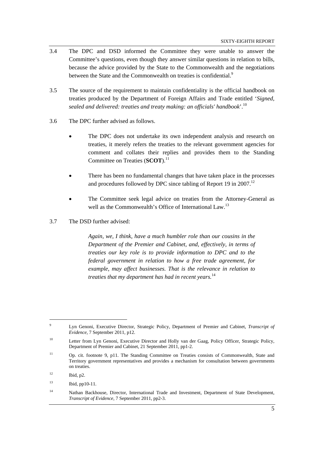- 3.4 The DPC and DSD informed the Committee they were unable to answer the Committee's questions, even though they answer similar questions in relation to bills, because the advice provided by the State to the Commonwealth and the negotiations between the State and the Commonwealth on treaties is confidential.<sup>9</sup>
- 3.5 The source of the requirement to maintain confidentiality is the official handbook on treaties produced by the Department of Foreign Affairs and Trade entitled '*Signed, sealed and delivered: treaties and treaty making: an officials' handbook*'.10
- 3.6 The DPC further advised as follows.
	- The DPC does not undertake its own independent analysis and research on treaties, it merely refers the treaties to the relevant government agencies for comment and collates their replies and provides them to the Standing Committee on Treaties (**SCOT**).<sup>11</sup>
	- There has been no fundamental changes that have taken place in the processes and procedures followed by DPC since tabling of Report 19 in 2007.<sup>12</sup>
	- The Committee seek legal advice on treaties from the Attorney-General as well as the Commonwealth's Office of International Law.<sup>13</sup>
- 3.7 The DSD further advised:

*Again, we, I think, have a much humbler role than our cousins in the Department of the Premier and Cabinet, and, effectively, in terms of treaties our key role is to provide information to DPC and to the federal government in relation to how a free trade agreement, for example, may affect businesses. That is the relevance in relation to treaties that my department has had in recent years.*<sup>14</sup>

 $\overline{Q}$  Lyn Genoni, Executive Director, Strategic Policy, Department of Premier and Cabinet, *Transcript of Evidence,* 7 September 2011, p12.

<sup>10</sup> Letter from Lyn Genoni, Executive Director and Holly van der Gaag, Policy Officer, Strategic Policy*,*  Department of Premier and Cabinet, 21 September 2011, pp1-2.

<sup>&</sup>lt;sup>11</sup> Op. cit. footnote 9, p11. The Standing Committee on Treaties consists of Commonwealth, State and Territory government representatives and provides a mechanism for consultation between governments on treaties.

 $12$  Ibid, p2.

<sup>13</sup> Ibid, pp10-11.

<sup>&</sup>lt;sup>14</sup> Nathan Backhouse, Director, International Trade and Investment, Department of State Development, *Transcript of Evidence,* 7 September 2011, pp2-3.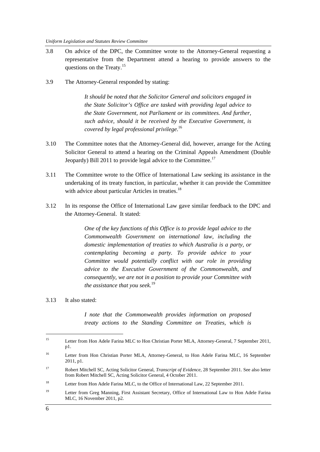- 3.8 On advice of the DPC, the Committee wrote to the Attorney-General requesting a representative from the Department attend a hearing to provide answers to the questions on the Treaty.<sup>15</sup>
- 3.9 The Attorney-General responded by stating:

*It should be noted that the Solicitor General and solicitors engaged in the State Solicitor's Office are tasked with providing legal advice to the State Government, not Parliament or its committees. And further, such advice, should it be received by the Executive Government, is covered by legal professional privilege*. 16

- 3.10 The Committee notes that the Attorney-General did, however, arrange for the Acting Solicitor General to attend a hearing on the Criminal Appeals Amendment (Double Jeopardy) Bill 2011 to provide legal advice to the Committee.<sup>17</sup>
- 3.11 The Committee wrote to the Office of International Law seeking its assistance in the undertaking of its treaty function, in particular, whether it can provide the Committee with advice about particular Articles in treaties.<sup>18</sup>
- 3.12 In its response the Office of International Law gave similar feedback to the DPC and the Attorney-General. It stated:

*One of the key functions of this Office is to provide legal advice to the Commonwealth Government on international law, including the domestic implementation of treaties to which Australia is a party, or contemplating becoming a party. To provide advice to your Committee would potentially conflict with our role in providing advice to the Executive Government of the Commonwealth, and consequently, we are not in a position to provide your Committee with the assistance that you seek.*<sup>19</sup>

#### 3.13 It also stated:

*I note that the Commonwealth provides information on proposed treaty actions to the Standing Committee on Treaties, which is* 

<sup>15</sup> Letter from Hon Adele Farina MLC to Hon Christian Porter MLA, Attorney-General, 7 September 2011, p1.

<sup>&</sup>lt;sup>16</sup> Letter from Hon Christian Porter MLA, Attorney-General, to Hon Adele Farina MLC, 16 September 2011, p1.

<sup>17</sup> Robert Mitchell SC, Acting Solicitor General*, Transcript of Evidence,* 28 September 2011. See also letter from Robert Mitchell SC, Acting Solicitor General, 4 October 2011.

<sup>&</sup>lt;sup>18</sup> Letter from Hon Adele Farina MLC, to the Office of International Law, 22 September 2011.

<sup>&</sup>lt;sup>19</sup> Letter from Greg Manning, First Assistant Secretary, Office of International Law to Hon Adele Farina MLC, 16 November 2011, p2.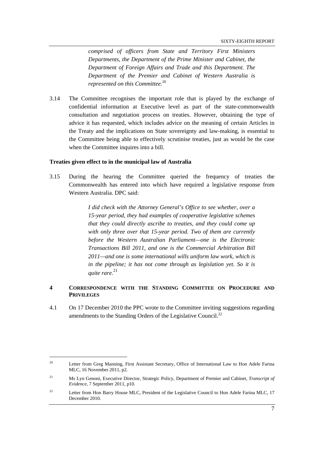*comprised of officers from State and Territory First Ministers Departments, the Department of the Prime Minister and Cabinet, the Department of Foreign Affairs and Trade and this Department. The Department of the Premier and Cabinet of Western Australia is represented on this Committee.*<sup>20</sup>

3.14 The Committee recognises the important role that is played by the exchange of confidential information at Executive level as part of the state-commonwealth consultation and negotiation process on treaties. However, obtaining the type of advice it has requested, which includes advice on the meaning of certain Articles in the Treaty and the implications on State sovereignty and law-making, is essential to the Committee being able to effectively scrutinise treaties, just as would be the case when the Committee inquires into a bill.

### **Treaties given effect to in the municipal law of Australia**

3.15 During the hearing the Committee queried the frequency of treaties the Commonwealth has entered into which have required a legislative response from Western Australia. DPC said:

> *I did check with the Attorney General's Office to see whether, over a 15-year period, they had examples of cooperative legislative schemes that they could directly ascribe to treaties, and they could come up with only three over that 15-year period. Two of them are currently before the Western Australian Parliament—one is the Electronic Transactions Bill 2011, and one is the Commercial Arbitration Bill 2011—and one is some international wills uniform law work, which is in the pipeline; it has not come through as legislation yet. So it is quite rare.*<sup>21</sup>

### **4 CORRESPONDENCE WITH THE STANDING COMMITTEE ON PROCEDURE AND PRIVILEGES**

4.1 On 17 December 2010 the PPC wrote to the Committee inviting suggestions regarding amendments to the Standing Orders of the Legislative Council.<sup>22</sup>

<sup>&</sup>lt;sup>20</sup> Letter from Greg Manning, First Assistant Secretary, Office of International Law to Hon Adele Farina MLC, 16 November 2011, p2.

<sup>21</sup> Ms Lyn Genoni, Executive Director, Strategic Policy*,* Department of Premier and Cabinet, *Transcript of Evidence,* 7 September 2011, p10.

<sup>&</sup>lt;sup>22</sup> Letter from Hon Barry House MLC, President of the Legislative Council to Hon Adele Farina MLC, 17 December 2010.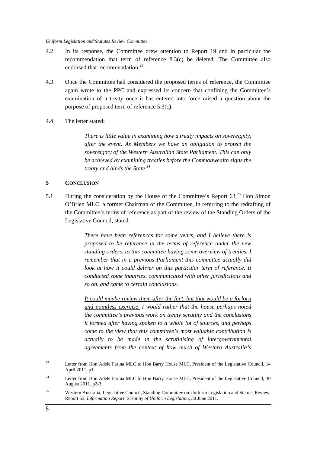- 4.2 In its response, the Committee drew attention to Report 19 and in particular the recommendation that term of reference 8.3(c) be deleted. The Committee also endorsed that recommendation.<sup>23</sup>
- 4.3 Once the Committee had considered the proposed terms of reference, the Committee again wrote to the PPC and expressed its concern that confining the Committee's examination of a treaty once it has entered into force raised a question about the purpose of proposed term of reference 5.3(c).
- 4.4 The letter stated:

*There is little value in examining how a treaty impacts on sovereignty, after the event. As Members we have an obligation to protect the sovereignty of the Western Australian State Parliament. This can only be achieved by examining treaties before the Commonwealth signs the treaty and binds the State*. 24

#### **5 CONCLUSION**

5.1 During the consideration by the House of the Committee's Report  $63<sup>25</sup>$  Hon Simon O'Brien MLC, a former Chairman of the Committee, in referring to the redrafting of the Committee's terms of reference as part of the review of the Standing Orders of the Legislative Council, stated:

> *There have been references for some years, and I believe there is proposed to be reference in the terms of reference under the new standing orders, to this committee having some overview of treaties. I remember that in a previous Parliament this committee actually did look at how it could deliver on this particular term of reference. It conducted some inquiries, communicated with other jurisdictions and so on, and came to certain conclusions.*

> *It could maybe review them after the fact, but that would be a forlorn and pointless exercise. I would rather that the house perhaps noted the committee's previous work on treaty scrutiny and the conclusions it formed after having spoken to a whole lot of sources, and perhaps come to the view that this committee's most valuable contribution is actually to be made in the scrutinising of intergovernmental agreements from the context of how much of Western Australia's*

<sup>&</sup>lt;sup>23</sup> Letter from Hon Adele Farina MLC to Hon Barry House MLC, President of the Legislative Council, 14 April 2011, p1.

<sup>&</sup>lt;sup>24</sup> Letter from Hon Adele Farina MLC to Hon Barry House MLC, President of the Legislative Council, 30 August 2011, p2-3.

<sup>25</sup> Western Australia, Legislative Council, Standing Committee on Uniform Legislation and Statues Review, Report 63, *Information Report: Scrutiny of Uniform Legislation,* 30 June 2011.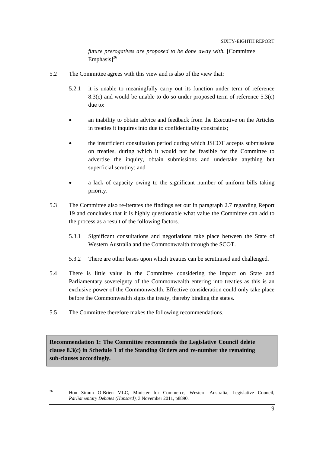*future prerogatives are proposed to be done away with.* [Committee  $Emphasis1<sup>26</sup>$ 

- 5.2 The Committee agrees with this view and is also of the view that:
	- 5.2.1 it is unable to meaningfully carry out its function under term of reference  $8.3(c)$  and would be unable to do so under proposed term of reference  $5.3(c)$ due to:
	- an inability to obtain advice and feedback from the Executive on the Articles in treaties it inquires into due to confidentiality constraints;
	- the insufficient consultation period during which JSCOT accepts submissions on treaties, during which it would not be feasible for the Committee to advertise the inquiry, obtain submissions and undertake anything but superficial scrutiny; and
	- a lack of capacity owing to the significant number of uniform bills taking priority.
- 5.3 The Committee also re-iterates the findings set out in paragraph 2.7 regarding Report 19 and concludes that it is highly questionable what value the Committee can add to the process as a result of the following factors.
	- 5.3.1 Significant consultations and negotiations take place between the State of Western Australia and the Commonwealth through the SCOT.
	- 5.3.2 There are other bases upon which treaties can be scrutinised and challenged.
- 5.4 There is little value in the Committee considering the impact on State and Parliamentary sovereignty of the Commonwealth entering into treaties as this is an exclusive power of the Commonwealth. Effective consideration could only take place before the Commonwealth signs the treaty, thereby binding the states.
- 5.5 The Committee therefore makes the following recommendations.

**Recommendation 1: The Committee recommends the Legislative Council delete clause 8.3(c) in Schedule 1 of the Standing Orders and re-number the remaining sub-clauses accordingly.** 

 $\overline{a}$ 

<sup>&</sup>lt;sup>26</sup> Hon Simon O'Brien MLC, Minister for Commerce, Western Australia, Legislative Council, *Parliamentary Debates (Hansard),* 3 November 2011, p8890.